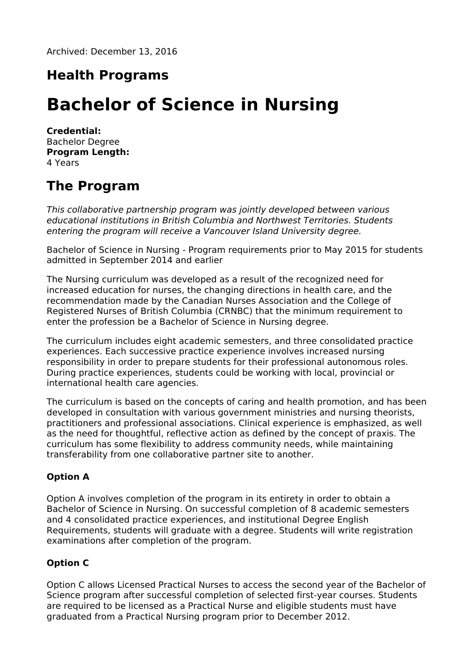Archived: December 13, 2016

# **Health Programs**

# **Bachelor of Science in Nursing**

**Credential:** Bachelor Degree **Program Length:** 4 Years

## **The Program**

This collaborative partnership program was jointly developed between various educational institutions in British Columbia and Northwest Territories. Students entering the program will receive a Vancouver Island University degree.

Bachelor of Science in Nursing - Program requirements prior to May 2015 for students admitted in September 2014 and earlier

The Nursing curriculum was developed as a result of the recognized need for increased education for nurses, the changing directions in health care, and the recommendation made by the Canadian Nurses Association and the College of Registered Nurses of British Columbia (CRNBC) that the minimum requirement to enter the profession be a Bachelor of Science in Nursing degree.

The curriculum includes eight academic semesters, and three consolidated practice experiences. Each successive practice experience involves increased nursing responsibility in order to prepare students for their professional autonomous roles. During practice experiences, students could be working with local, provincial or international health care agencies.

The curriculum is based on the concepts of caring and health promotion, and has been developed in consultation with various government ministries and nursing theorists, practitioners and professional associations. Clinical experience is emphasized, as well as the need for thoughtful, reflective action as defined by the concept of praxis. The curriculum has some flexibility to address community needs, while maintaining transferability from one collaborative partner site to another.

#### **Option A**

Option A involves completion of the program in its entirety in order to obtain a Bachelor of Science in Nursing. On successful completion of 8 academic semesters and 4 consolidated practice experiences, and institutional Degree English Requirements, students will graduate with a degree. Students will write registration examinations after completion of the program.

#### **Option C**

Option C allows Licensed Practical Nurses to access the second year of the Bachelor of Science program after successful completion of selected first-year courses. Students are required to be licensed as a Practical Nurse and eligible students must have graduated from a Practical Nursing program prior to December 2012.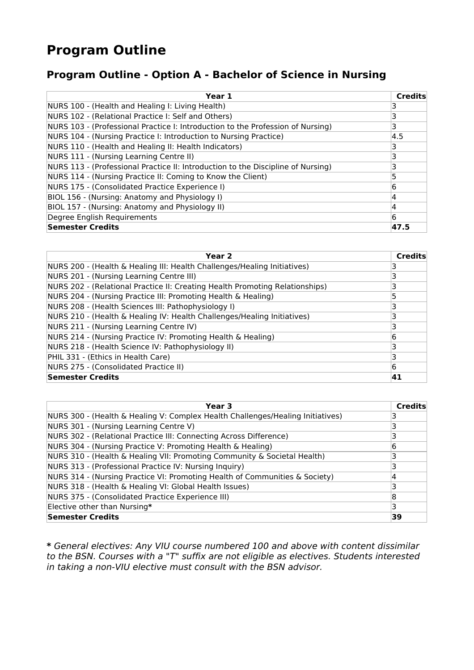# **Program Outline**

### **Program Outline - Option A - Bachelor of Science in Nursing**

| Year 1                                                                           | <b>Credits</b> |
|----------------------------------------------------------------------------------|----------------|
| NURS 100 - (Health and Healing I: Living Health)                                 | 3              |
| NURS 102 - (Relational Practice I: Self and Others)                              | 3              |
| NURS 103 - (Professional Practice I: Introduction to the Profession of Nursing)  | 3              |
| NURS 104 - (Nursing Practice I: Introduction to Nursing Practice)                | 4.5            |
| NURS 110 - (Health and Healing II: Health Indicators)                            | 3              |
| NURS 111 - (Nursing Learning Centre II)                                          | 3              |
| NURS 113 - (Professional Practice II: Introduction to the Discipline of Nursing) | 3              |
| NURS 114 - (Nursing Practice II: Coming to Know the Client)                      |                |
| NURS 175 - (Consolidated Practice Experience I)                                  | 6              |
| BIOL 156 - (Nursing: Anatomy and Physiology I)                                   | 4              |
| BIOL 157 - (Nursing: Anatomy and Physiology II)                                  | 4              |
| Degree English Requirements                                                      | 6              |
| Semester Credits                                                                 | 47.5           |

| Year <sub>2</sub>                                                            | <b>Credits</b> |
|------------------------------------------------------------------------------|----------------|
| NURS 200 - (Health & Healing III: Health Challenges/Healing Initiatives)     |                |
| NURS 201 - (Nursing Learning Centre III)                                     | 3              |
| NURS 202 - (Relational Practice II: Creating Health Promoting Relationships) | ٦              |
| NURS 204 - (Nursing Practice III: Promoting Health & Healing)                | 5              |
| NURS 208 - (Health Sciences III: Pathophysiology I)                          |                |
| NURS 210 - (Health & Healing IV: Health Challenges/Healing Initiatives)      |                |
| NURS 211 - (Nursing Learning Centre IV)                                      |                |
| NURS 214 - (Nursing Practice IV: Promoting Health & Healing)                 | 6              |
| NURS 218 - (Health Science IV: Pathophysiology II)                           | З              |
| PHIL 331 - (Ethics in Health Care)                                           | з              |
| NURS 275 - (Consolidated Practice II)                                        | 6              |
| Semester Credits                                                             | 41             |

| Year 3                                                                         | <b>Credits</b> |
|--------------------------------------------------------------------------------|----------------|
| NURS 300 - (Health & Healing V: Complex Health Challenges/Healing Initiatives) |                |
| NURS 301 - (Nursing Learning Centre V)                                         |                |
| NURS 302 - (Relational Practice III: Connecting Across Difference)             |                |
| NURS 304 - (Nursing Practice V: Promoting Health & Healing)                    | 6              |
| NURS 310 - (Health & Healing VII: Promoting Community & Societal Health)       |                |
| NURS 313 - (Professional Practice IV: Nursing Inquiry)                         |                |
| NURS 314 - (Nursing Practice VI: Promoting Health of Communities & Society)    |                |
| NURS 318 - (Health & Healing VI: Global Health Issues)                         |                |
| NURS 375 - (Consolidated Practice Experience III)                              | 8              |
| Elective other than Nursing*                                                   | 3              |
| Semester Credits                                                               | 39             |

**\*** General electives: Any VIU course numbered 100 and above with content dissimilar to the BSN. Courses with a "T" suffix are not eligible as electives. Students interested in taking a non-VIU elective must consult with the BSN advisor.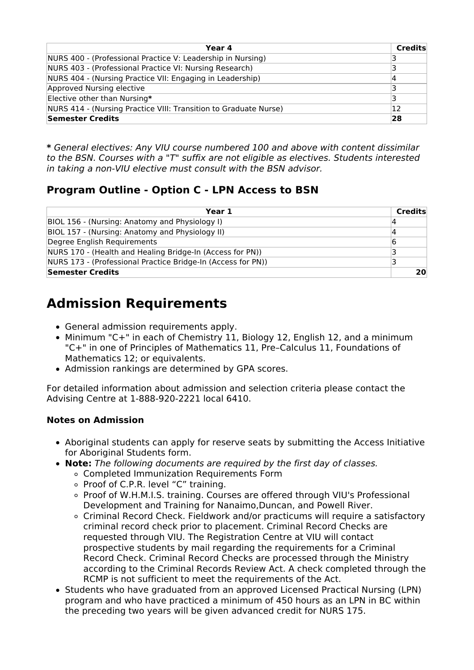| Year 4                                                           | <b>Credits</b> |
|------------------------------------------------------------------|----------------|
| NURS 400 - (Professional Practice V: Leadership in Nursing)      |                |
| NURS 403 - (Professional Practice VI: Nursing Research)          |                |
| NURS 404 - (Nursing Practice VII: Engaging in Leadership)        |                |
| Approved Nursing elective                                        |                |
| Elective other than Nursing*                                     | 3              |
| NURS 414 - (Nursing Practice VIII: Transition to Graduate Nurse) | 12             |
| <b>Semester Credits</b>                                          | 28             |

**\*** General electives: Any VIU course numbered 100 and above with content dissimilar to the BSN. Courses with a "T" suffix are not eligible as electives. Students interested in taking a non-VIU elective must consult with the BSN advisor.

### **Program Outline - Option C - LPN Access to BSN**

| Year 1                                                       | <b>Credits</b> |
|--------------------------------------------------------------|----------------|
| BIOL 156 - (Nursing: Anatomy and Physiology I)               | 14             |
| BIOL 157 - (Nursing: Anatomy and Physiology II)              | 14             |
| Degree English Requirements                                  | 16             |
| NURS 170 - (Health and Healing Bridge-In (Access for PN))    | ₹              |
| NURS 173 - (Professional Practice Bridge-In (Access for PN)) |                |
| Semester Credits                                             | 20             |

# **Admission Requirements**

- General admission requirements apply.
- Minimum "C+" in each of Chemistry 11, Biology 12, English 12, and a minimum "C+" in one of Principles of Mathematics 11, Pre–Calculus 11, Foundations of Mathematics 12; or equivalents.
- Admission rankings are determined by GPA scores.

For detailed information about admission and selection criteria please contact the Advising Centre at 1-888-920-2221 local 6410.

#### **Notes on Admission**

- Aboriginal students can apply for reserve seats by submitting the Access Initiative for Aboriginal Students form.
- **Note:** The following documents are required by the first day of classes.
	- Completed Immunization Requirements Form
	- Proof of C.P.R. level "C" training.
	- Proof of W.H.M.I.S. training. Courses are offered through VIU's Professional Development and Training for Nanaimo,Duncan, and Powell River.
	- Criminal Record Check. Fieldwork and/or practicums will require a satisfactory criminal record check prior to placement. Criminal Record Checks are requested through VIU. The Registration Centre at VIU will contact prospective students by mail regarding the requirements for a Criminal Record Check. Criminal Record Checks are processed through the Ministry according to the Criminal Records Review Act. A check completed through the RCMP is not sufficient to meet the requirements of the Act.
- Students who have graduated from an approved Licensed Practical Nursing (LPN) program and who have practiced a minimum of 450 hours as an LPN in BC within the preceding two years will be given advanced credit for NURS 175.